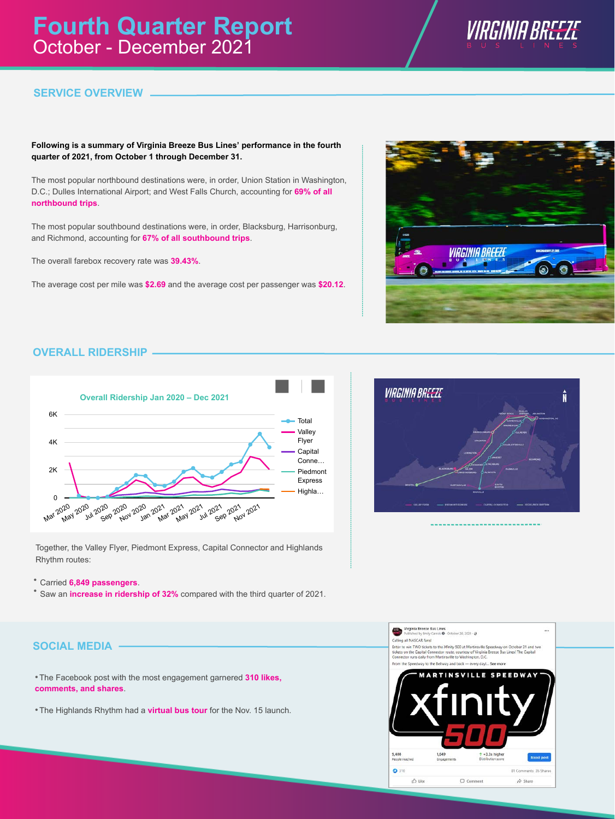

# **SERVICE OVERVIEW**

### **Following is a summary of Virginia Breeze Bus Lines' performance in the fourth quarter of 2021, from October 1 through December 31.**

The most popular northbound destinations were, in order, Union Station in Washington, D.C.; Dulles International Airport; and West Falls Church, accounting for **69% of all northbound trips**.

The most popular southbound destinations were, in order, Blacksburg, Harrisonburg, and Richmond, accounting for **67% of all southbound trips**.

The overall farebox recovery rate was **39.43%**.

The average cost per mile was **\$2.69** and the average cost per passenger was **\$20.12**.



# **OVERALL RIDERSHIP**



Together, the Valley Flyer, Piedmont Express, Capital Connector and Highlands Rhythm routes:

Carried **6,849 passengers**. •

<sup>\*</sup> Saw an **increase in ridership of 32%** compared with the third quarter of 2021.





 The Facebook post with the most engagement garnered **310 likes,** • **comments, and shares**.

**• The Highlands Rhythm had a virtual bus tour** for the Nov. 15 launch.

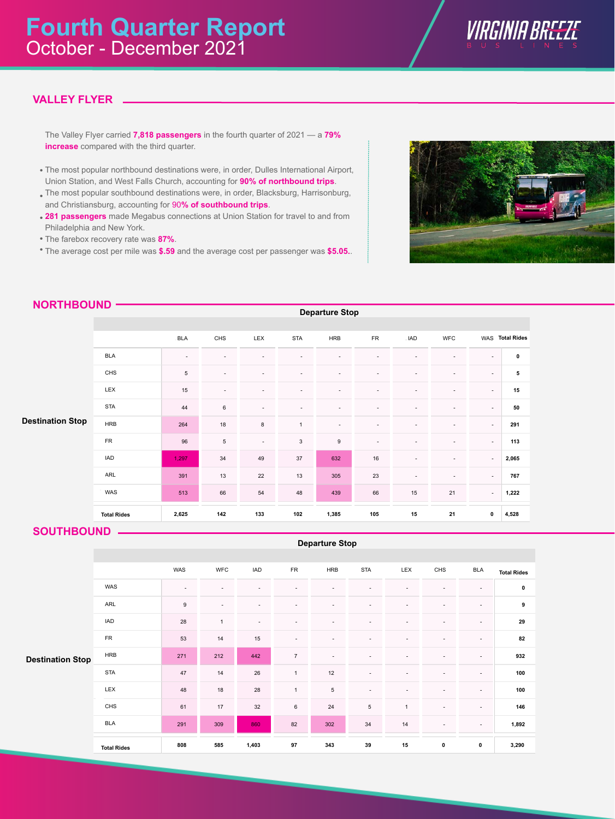

# **VALLEY FLYER**

The Valley Flyer carried **7,818 passengers** in the fourth quarter of 2021 — a **79% increase** compared with the third quarter.

- The most popular northbound destinations were, in order, Dulles International Airport, Union Station, and West Falls Church, accounting for **90% of northbound trips**.
- The most popular southbound destinations were, in order, Blacksburg, Harrisonburg, and Christiansburg, accounting for 90**% of southbound trips**.
- **281 passengers** made Megabus connections at Union Station for travel to and from Philadelphia and New York.
- The farebox recovery rate was **87%**. •
- The average cost per mile was **\$.59** and the average cost per passenger was **\$5.05.**. •



|                         |                    | <b>BLA</b> | CHS                      | LEX                      | <b>STA</b>     | <b>HRB</b>       | ${\sf FR}$ | . IAD                    | <b>WFC</b>               |                          | WAS Total Rides |
|-------------------------|--------------------|------------|--------------------------|--------------------------|----------------|------------------|------------|--------------------------|--------------------------|--------------------------|-----------------|
|                         | <b>BLA</b>         | $\sim$     | ٠                        | $\overline{\phantom{a}}$ | ٠              | ٠                | $\sim$     | ٠                        | ٠                        | $\sim$                   | $\mathbf 0$     |
| <b>Destination Stop</b> | CHS                | 5          | $\overline{\phantom{a}}$ |                          | ۰              | ٠                |            | ٠                        | ٠                        | $\sim$                   | 5               |
|                         | LEX                | 15         | $\overline{\phantom{a}}$ |                          | ۰              | ٠                |            |                          | $\overline{\phantom{a}}$ | $\overline{\phantom{a}}$ | 15              |
|                         | <b>STA</b>         | 44         | 6                        | $\sim$                   | ٠              | ۰                |            | $\overline{\phantom{a}}$ | ٠                        | $\sim$                   | 50              |
|                         | <b>HRB</b>         | 264        | 18                       | $\bf8$                   | $\overline{1}$ | ٠                |            |                          | $\overline{\phantom{a}}$ | $\sim$                   | 291             |
|                         | <b>FR</b>          | 96         | $\sqrt{5}$               | $\sim$                   | $\mathsf 3$    | $\boldsymbol{9}$ |            | $\overline{\phantom{a}}$ | $\overline{\phantom{a}}$ | $\sim$                   | 113             |
|                         | IAD                | 1,297      | 34                       | 49                       | 37             | 632              | 16         | $\sim$                   | ٠                        | $\sim$                   | 2,065           |
|                         | ARL                | 391        | 13                       | 22                       | 13             | 305              | 23         | ٠                        | ٠                        | $\sim$                   | 767             |
|                         | WAS                | 513        | 66                       | 54                       | 48             | 439              | 66         | 15                       | 21                       | $\sim$                   | 1,222           |
|                         | <b>Total Rides</b> | 2,625      | 142                      | 133                      | 102            | 1,385            | 105        | 15                       | 21                       | $\pmb{0}$                | 4,528           |

**Departure Stop**

### **NORTHBOUND**

| <b>SOUTHBOUND</b> |  |  |
|-------------------|--|--|
|                   |  |  |

|                         | <b>Departure Stop</b> |                          |                |                          |                          |                          |                 |                          |                          |                          |                    |  |  |
|-------------------------|-----------------------|--------------------------|----------------|--------------------------|--------------------------|--------------------------|-----------------|--------------------------|--------------------------|--------------------------|--------------------|--|--|
|                         |                       |                          |                |                          |                          |                          |                 |                          |                          |                          |                    |  |  |
|                         |                       | WAS                      | <b>WFC</b>     | <b>IAD</b>               | <b>FR</b>                | <b>HRB</b>               | <b>STA</b>      | LEX                      | CHS                      | <b>BLA</b>               | <b>Total Rides</b> |  |  |
|                         | WAS                   | $\overline{\phantom{a}}$ |                |                          |                          |                          |                 |                          |                          | $\overline{\phantom{a}}$ | $\pmb{0}$          |  |  |
|                         | ARL                   | $\boldsymbol{9}$         | $\overline{a}$ |                          |                          |                          |                 |                          | -                        | $\overline{\phantom{a}}$ | 9                  |  |  |
|                         | <b>IAD</b>            | 28                       | $\mathbf{1}$   | $\overline{\phantom{a}}$ | $\overline{\phantom{a}}$ |                          |                 | $\overline{\phantom{a}}$ | $\overline{\phantom{0}}$ | $\overline{\phantom{a}}$ | 29                 |  |  |
|                         | <b>FR</b>             | 53                       | 14             | 15                       | ٠                        | $\overline{\phantom{a}}$ |                 | $\overline{\phantom{a}}$ | ٠                        | $\overline{\phantom{a}}$ | 82                 |  |  |
| <b>Destination Stop</b> | <b>HRB</b>            | 271                      | 212            | 442                      | $\overline{7}$           | ٠                        |                 |                          |                          | $\overline{\phantom{a}}$ | 932                |  |  |
|                         | <b>STA</b>            | 47                       | 14             | 26                       | $\mathbf{1}$             | 12                       |                 |                          |                          | $\overline{\phantom{a}}$ | 100                |  |  |
|                         | LEX                   | 48                       | 18             | 28                       | $\overline{1}$           | $\sqrt{5}$               | $\blacksquare$  | ٠                        | -                        | $\overline{\phantom{a}}$ | 100                |  |  |
|                         | CHS                   | 61                       | 17             | 32                       | $\,6$                    | 24                       | $5\phantom{.0}$ | $\mathbf{1}$             | ٠                        | $\sim$                   | 146                |  |  |
|                         | <b>BLA</b>            | 291                      | 309            | 860                      | 82                       | 302                      | 34              | 14                       | $\sim$                   | $\overline{\phantom{a}}$ | 1,892              |  |  |
|                         | <b>Total Rides</b>    | 808                      | 585            | 1,403                    | $97\,$                   | 343                      | 39              | 15                       | $\pmb{0}$                | $\pmb{0}$                | 3,290              |  |  |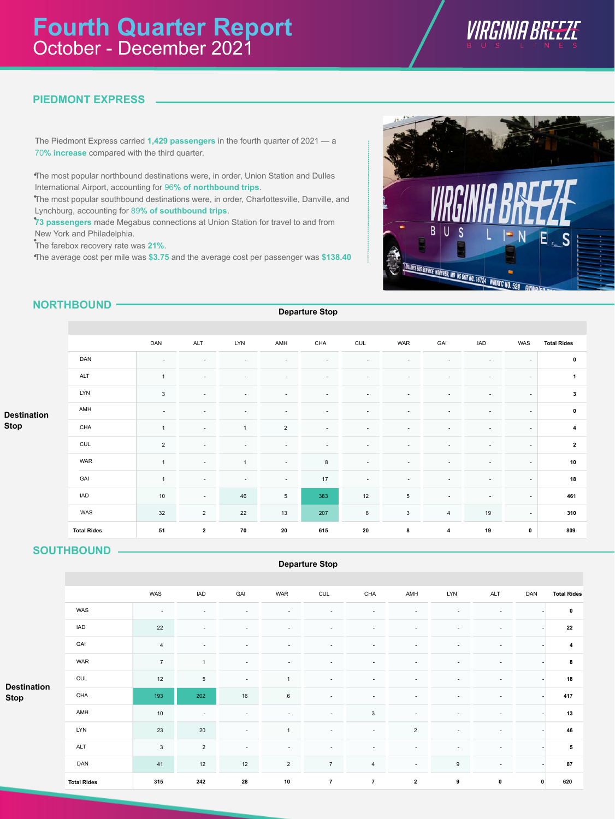

# **PIEDMONT EXPRESS**

The Piedmont Express carried **1,429 passengers** in the fourth quarter of 2021 — a 70**% increase** compared with the third quarter.

The most popular northbound destinations were, in order, Union Station and Dulles • International Airport, accounting for 96**% of northbound trips**.

The most popular southbound destinations were, in order, Charlottesville, Danville, and • Lynchburg, accounting for 89**% of southbound trips**.

73 passengers made Megabus connections at Union Station for travel to and from New York and Philadelphia.

The farebox recovery rate was 21%.

The average cost per mile was **\$3.75** and the average cost per passenger was **\$138.40** •



# **NORTHBOUND**

**Departure Stop**

|                                   |                    | DAN            | ALT                      | <b>LYN</b>     | AMH                      | CHA                      | CUL                      | WAR             | GAI                      | <b>IAD</b> | WAS                      | <b>Total Rides</b> |
|-----------------------------------|--------------------|----------------|--------------------------|----------------|--------------------------|--------------------------|--------------------------|-----------------|--------------------------|------------|--------------------------|--------------------|
| <b>Destination</b><br><b>Stop</b> | DAN                | ٠              | $\overline{\phantom{a}}$ | ۰              |                          |                          |                          |                 |                          |            | ٠                        | $\mathbf 0$        |
|                                   | ALT                | $\overline{1}$ | $\overline{\phantom{a}}$ | ۰              |                          |                          |                          |                 |                          |            | $\sim$                   | 1                  |
|                                   | <b>LYN</b>         | $\mathsf 3$    | $\overline{\phantom{a}}$ | ۰              |                          |                          |                          |                 |                          |            | $\overline{\phantom{a}}$ | 3                  |
|                                   | AMH                | ٠              | $\overline{\phantom{a}}$ | ۰              |                          |                          |                          |                 |                          |            | $\overline{\phantom{a}}$ | $\pmb{0}$          |
|                                   | CHA                | $\overline{1}$ | $\overline{\phantom{a}}$ | $\overline{1}$ | $\overline{2}$           | $\overline{\phantom{a}}$ |                          |                 | ٠                        |            | $\overline{\phantom{a}}$ | 4                  |
|                                   | CUL                | $\overline{2}$ | $\sim$                   | ۰              |                          |                          |                          |                 |                          |            | $\overline{\phantom{a}}$ | $\mathbf{2}$       |
|                                   | WAR                | $\mathbf{1}$   | $\overline{\phantom{a}}$ | $\overline{1}$ | $\overline{\phantom{a}}$ | 8                        | $\overline{\phantom{a}}$ |                 | $\overline{\phantom{a}}$ |            | $\overline{\phantom{a}}$ | 10                 |
|                                   | GAI                | $\mathbf{1}$   | $\sim$                   | $\sim$         | $\sim$                   | 17                       | $\overline{\phantom{a}}$ |                 |                          |            | $\overline{\phantom{a}}$ | 18                 |
|                                   | <b>IAD</b>         | 10             | $\overline{\phantom{a}}$ | 46             | 5                        | 383                      | 12                       | $5\phantom{.0}$ | $\sim$                   | ٠          | $\overline{\phantom{a}}$ | 461                |
|                                   | WAS                | 32             | $\overline{2}$           | 22             | 13                       | 207                      | 8                        | $\mathbf{3}$    | $\overline{4}$           | 19         | $\overline{\phantom{a}}$ | 310                |
|                                   | <b>Total Rides</b> | 51             | $\overline{\mathbf{2}}$  | 70             | ${\bf 20}$               | 615                      | ${\bf 20}$               | 8               | 4                        | 19         | $\mathbf 0$              | 809                |

## **SOUTHBOUND**

### **Departure Stop**

| <b>Destination</b> |                    | WAS            | <b>IAD</b>               | GAI                      | <b>WAR</b>     | <b>CUL</b>     | CHA            | AMH                      | <b>LYN</b>               | <b>ALT</b>               | DAN          | <b>Total Rides</b> |
|--------------------|--------------------|----------------|--------------------------|--------------------------|----------------|----------------|----------------|--------------------------|--------------------------|--------------------------|--------------|--------------------|
|                    | WAS                | ٠              |                          |                          |                |                |                |                          |                          |                          |              | $\mathbf 0$        |
|                    | <b>IAD</b>         | 22             | $\sim$                   |                          |                |                | $\overline{a}$ | $\overline{\phantom{a}}$ | ÷                        | ٠                        |              | 22                 |
|                    | GAI                | 4              |                          |                          |                |                |                | $\overline{\phantom{a}}$ |                          |                          |              | 4                  |
|                    | <b>WAR</b>         | $\overline{7}$ | $\overline{1}$           | $\overline{\phantom{a}}$ |                |                |                | $\overline{\phantom{a}}$ | ٠                        | ٠                        |              | 8                  |
|                    | CUL                | 12             | 5                        | $\sim$                   | $\overline{1}$ | $\overline{a}$ | $\sim$         | $\sim$                   | $\overline{\phantom{a}}$ | ٠                        |              | 18                 |
| <b>Stop</b>        | CHA                | 193            | 202                      | 16                       | $\,6\,$        | $\overline{a}$ | $\overline{a}$ | $\sim$                   | ٠                        | ٠                        |              | 417                |
|                    | AMH                | $10$           | $\overline{\phantom{a}}$ |                          |                | $\sim$         | $\mathbf{3}$   | $\sim$                   |                          |                          |              | 13                 |
|                    | LYN                | 23             | 20                       | $\sim$                   | $\overline{1}$ | $\overline{a}$ | $\sim$         | $\overline{2}$           | ٠                        | $\overline{\phantom{a}}$ |              | 46                 |
|                    | <b>ALT</b>         | 3              | $\overline{2}$           | $\overline{\phantom{a}}$ |                |                |                | $\overline{\phantom{a}}$ |                          | $\overline{\phantom{a}}$ |              | 5                  |
|                    | DAN                | 41             | 12                       | 12                       | $\mathbf 2$    | $\overline{7}$ | $\overline{4}$ | $\sim$                   | $\boldsymbol{9}$         | ٠                        |              | 87                 |
|                    | <b>Total Rides</b> | 315            | 242                      | 28                       | 10             | $\overline{7}$ | $\overline{7}$ | $\mathbf{2}$             | $\boldsymbol{9}$         | $\pmb{0}$                | $\mathbf{0}$ | 620                |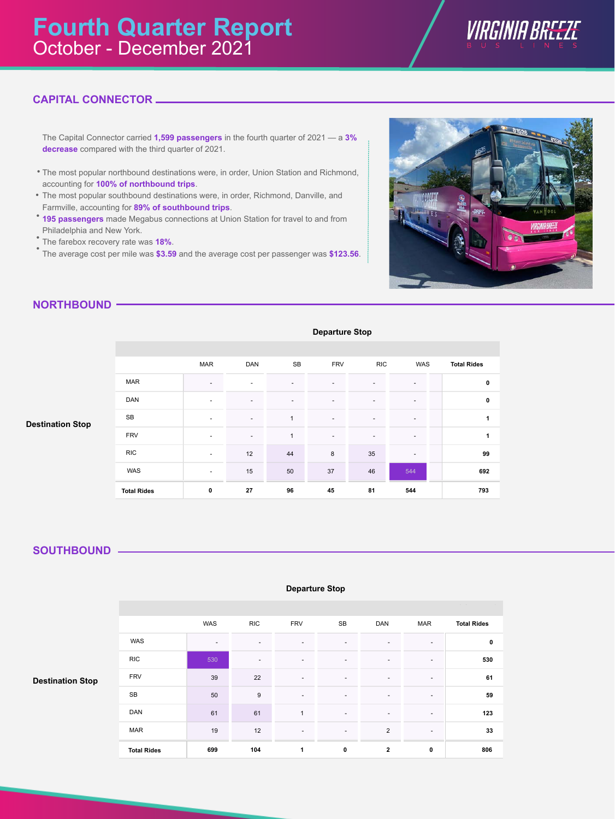

# **CAPITAL CONNECTOR**

The Capital Connector carried **1,599 passengers** in the fourth quarter of 2021 — a **3% decrease** compared with the third quarter of 2021.

- The most popular northbound destinations were, in order, Union Station and Richmond, •accounting for **100% of northbound trips**.
- The most popular southbound destinations were, in order, Richmond, Danville, and Farmville, accounting for **89% of southbound trips**.
- **195 passengers** made Megabus connections at Union Station for travel to and from Philadelphia and New York.
- The farebox recovery rate was **18%**. •
- The average cost per mile was \$3.59 and the average cost per passenger was \$123.56.



## **NORTHBOUND**

|                         | <b>Departure Stop</b> |                          |                          |                          |                |                          |                          |                    |  |  |  |  |  |
|-------------------------|-----------------------|--------------------------|--------------------------|--------------------------|----------------|--------------------------|--------------------------|--------------------|--|--|--|--|--|
|                         |                       |                          |                          |                          |                |                          |                          |                    |  |  |  |  |  |
|                         |                       | <b>MAR</b>               | <b>DAN</b>               | SB                       | <b>FRV</b>     | <b>RIC</b>               | <b>WAS</b>               | <b>Total Rides</b> |  |  |  |  |  |
|                         | <b>MAR</b>            | $\overline{\phantom{a}}$ |                          |                          | ۰              | $\overline{\phantom{0}}$ | $\overline{\phantom{a}}$ | 0                  |  |  |  |  |  |
|                         | DAN                   | $\overline{\phantom{a}}$ | $\overline{\phantom{0}}$ | $\overline{\phantom{a}}$ | ٠              | $\overline{\phantom{0}}$ | $\overline{\phantom{a}}$ | 0                  |  |  |  |  |  |
| <b>Destination Stop</b> | <b>SB</b>             | $\overline{\phantom{a}}$ | $\overline{\phantom{a}}$ | $\mathbf{1}$             | $\overline{a}$ | $\blacksquare$           | $\overline{\phantom{a}}$ | 1                  |  |  |  |  |  |
|                         | <b>FRV</b>            | $\overline{\phantom{a}}$ | $\overline{\phantom{a}}$ | $\mathbf{1}$             | $\overline{a}$ | $\blacksquare$           | $\overline{\phantom{a}}$ | 1                  |  |  |  |  |  |
|                         | <b>RIC</b>            | $\overline{\phantom{a}}$ | 12                       | 44                       | 8              | 35                       | $\overline{\phantom{a}}$ | 99                 |  |  |  |  |  |
|                         | WAS                   | $\overline{\phantom{a}}$ | 15                       | 50                       | 37             | 46                       | 544                      | 692                |  |  |  |  |  |
|                         | <b>Total Rides</b>    | $\mathbf 0$              | 27                       | 96                       | 45             | 81                       | 544                      | 793                |  |  |  |  |  |

**Departure Stop**

## **SOUTHBOUND**

1.WAS WAS RIC 3.FRV 4.SB 5.DAN 6.MAR WAS RIC FRV SB DAN MAR - - - - - - 530 - - - - - 39 22 - - - - 50 9 - - - - - - - - -61 61 1 - - - - -19 12 - - 2 -**0 530 61 59 123 33 699 104 1 0 2 0 Grand total Total Rides Grand total 806 Total Rides Destination Stop** WAS RIC FRV SB DAN MAR

#### **Departure Stop**